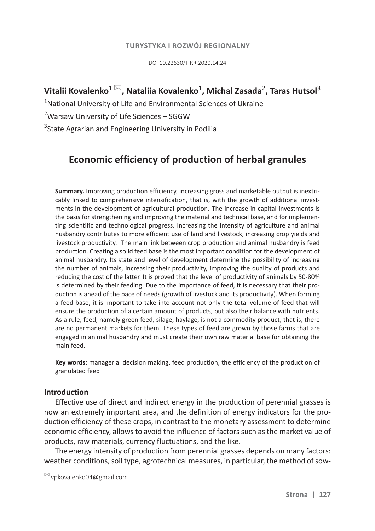DOI 10.22630/TIRR.2020.14.24

## $\mathsf{V}$ italii Kovalenko $^{1\,\boxtimes}$ , Nataliia Kovalenko $^{1}$ , Michal Zasada $^{2}$ , Taras Hutsol $^{3}$

<sup>1</sup>National University of Life and Environmental Sciences of Ukraine

<sup>2</sup>Warsaw University of Life Sciences – SGGW

<sup>3</sup>State Agrarian and Engineering University in Podilia

# **Economic efficiency of production of herbal granules**

**Summary.** Improving production efficiency, increasing gross and marketable output is inextricably linked to comprehensive intensification, that is, with the growth of additional investments in the development of agricultural production. The increase in capital investments is the basis for strengthening and improving the material and technical base, and for implementing scientific and technological progress. Increasing the intensity of agriculture and animal husbandry contributes to more efficient use of land and livestock, increasing crop yields and livestock productivity. The main link between crop production and animal husbandry is feed production. Creating a solid feed base is the most important condition for the development of animal husbandry. Its state and level of development determine the possibility of increasing the number of animals, increasing their productivity, improving the quality of products and reducing the cost of the latter. It is proved that the level of productivity of animals by 50-80% is determined by their feeding. Due to the importance of feed, it is necessary that their production is ahead of the pace of needs (growth of livestock and its productivity). When forming a feed base, it is important to take into account not only the total volume of feed that will ensure the production of a certain amount of products, but also their balance with nutrients. As a rule, feed, namely green feed, silage, haylage, is not a commodity product, that is, there are no permanent markets for them. These types of feed are grown by those farms that are engaged in animal husbandry and must create their own raw material base for obtaining the main feed.

**Key words:** managerial decision making, feed production, the efficiency of the production of granulated feed

## **Introduction**

Effective use of direct and indirect energy in the production of perennial grasses is now an extremely important area, and the definition of energy indicators for the production efficiency of these crops, in contrast to the monetary assessment to determine economic efficiency, allows to avoid the influence of factors such as the market value of products, raw materials, currency fluctuations, and the like.

The energy intensity of production from perennial grasses depends on many factors: weather conditions, soil type, agrotechnical measures, in particular, the method of sow-

 $\boxtimes$  vpkovalenko04@gmail.com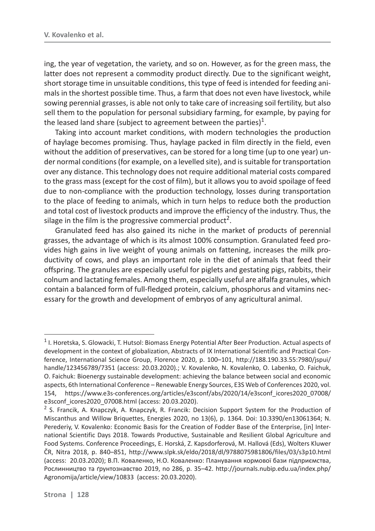ing, the year of vegetation, the variety, and so on. However, as for the green mass, the latter does not represent a commodity product directly. Due to the significant weight, short storage time in unsuitable conditions, this type of feed is intended for feeding animals in the shortest possible time. Thus, a farm that does not even have livestock, while sowing perennial grasses, is able not only to take care of increasing soil fertility, but also sell them to the population for personal subsidiary farming, for example, by paying for the leased land share (subject to agreement between the parties)<sup>1</sup>.

Taking into account market conditions, with modern technologies the production of haylage becomes promising. Thus, haylage packed in film directly in the field, even without the addition of preservatives, can be stored for a long time (up to one year) under normal conditions (for example, on a levelled site), and is suitable for transportation over any distance. This technology does not require additional material costs compared to the grass mass (except for the cost of film), but it allows you to avoid spoilage of feed due to non-compliance with the production technology, losses during transportation to the place of feeding to animals, which in turn helps to reduce both the production and total cost of livestock products and improve the efficiency of the industry. Thus, the silage in the film is the progressive commercial product<sup>2</sup>.

Granulated feed has also gained its niche in the market of products of perennial grasses, the advantage of which is its almost 100% consumption. Granulated feed provides high gains in live weight of young animals on fattening, increases the milk productivity of cows, and plays an important role in the diet of animals that feed their offspring. The granules are especially useful for piglets and gestating pigs, rabbits, their colnum and lactating females. Among them, especially useful are alfalfa granules, which contain a balanced form of full-fledged protein, calcium, phosphorus and vitamins necessary for the growth and development of embryos of any agricultural animal.

 $1$  I. Horetska, S. Glowacki, T. Hutsol: Biomass Energy Potential After Beer Production. Actual aspects of development in the context of globalization, Abstracts of IX International Scientific and Practical Conference, International Science Group, Florence 2020, p. 100-101, http://188.190.33.55:7980/jspui/ handle/123456789/7351 (access: 20.03.2020).; V. Kovalenko, N. Kovalenko, O. Labenko, O. Faichuk, O. Faichuk: Bioenergy sustainable development: achieving the balance between social and economic aspects, 6th International Conference – Renewable Energy Sources, E3S Web of Conferences 2020, vol. 154, https://www.e3s-conferences.org/articles/e3sconf/abs/2020/14/e3sconf\_icores2020\_07008/ e3sconf\_icores2020\_07008.html (access: 20.03.2020).

<sup>&</sup>lt;sup>2</sup> S. Francik, A. Knapczyk, A. Knapczyk, R. Francik: Decision Support System for the Production of Miscanthus and Willow Briquettes, Energies 2020, no 13(6), p. 1364. Doi: 10.3390/en13061364; N. Perederiy, V. Kovalenko: Economic Basis for the Creation of Fodder Base of the Enterprise, [in] International Scientific Days 2018. Towards Productive, Sustainable and Resilient Global Agriculture and Food Systems. Conference Proceedings, E. Horská, Z. Kapsdorferová, M. Hallová (Eds), Wolters Kluwer R, Nitra 2018, p. 840–851, http://www.slpk.sk/eldo/2018/dl/9788075981806/files/03/s3p10.html (access: 20.03.2020); В.П. Коваленко, Н.О. Коваленко: Планування кормової бази підприємства, Рослинництво та ґрунтознавство 2019, no 286, p. 35–42. http://journals.nubip.edu.ua/index.php/ Agronomija/article/view/10833 (access: 20.03.2020).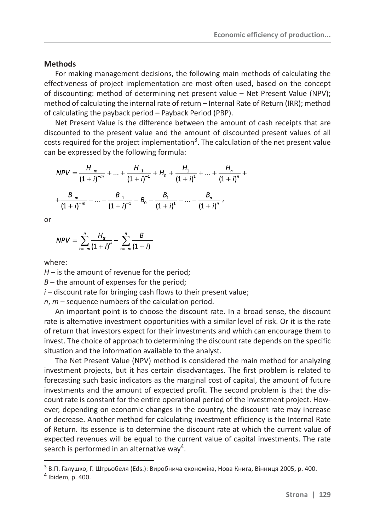#### **Methods**

For making management decisions, the following main methods of calculating the effectiveness of project implementation are most often used, based on the concept of discounting: method of determining net present value – Net Present Value (NPV); method of calculating the internal rate of return – Internal Rate of Return (IRR); method of calculating the payback period – Payback Period (PBP).

Net Present Value is the difference between the amount of cash receipts that are discounted to the present value and the amount of discounted present values of all costs required for the project implementation<sup>3</sup>. The calculation of the net present value can be expressed by the following formula:

$$
NPV = \frac{H_{-m}}{(1+i)^{-m}} + \dots + \frac{H_{-1}}{(1+i)^{-1}} + H_0 + \frac{H_1}{(1+i)^1} + \dots + \frac{H_n}{(1+i)^n} + \frac{B_{-m}}{(1+i)^{-m}} - \dots - \frac{B_{-1}}{(1+i)^{-1}} - B_0 - \frac{B_1}{(1+i)^1} - \dots - \frac{B_n}{(1+i)^n},
$$

or

$$
NPV = \sum_{t=-m}^{n} \frac{H_{tt}}{(1+i)^{tt}} - \sum_{t=-m}^{n} \frac{B}{(1+i)}
$$

where:

 $H$  – is the amount of revenue for the period;

*ʦ* – the amount of expenses for the period;

*i* – discount rate for bringing cash flows to their present value;

*n*, *m* – sequence numbers of the calculation period.

An important point is to choose the discount rate. In a broad sense, the discount rate is alternative investment opportunities with a similar level of risk. Or it is the rate of return that investors expect for their investments and which can encourage them to invest. The choice of approach to determining the discount rate depends on the specific situation and the information available to the analyst.

The Net Present Value (NPV) method is considered the main method for analyzing investment projects, but it has certain disadvantages. The first problem is related to forecasting such basic indicators as the marginal cost of capital, the amount of future investments and the amount of expected profit. The second problem is that the discount rate is constant for the entire operational period of the investment project. However, depending on economic changes in the country, the discount rate may increase or decrease. Another method for calculating investment efficiency is the Internal Rate of Return. Its essence is to determine the discount rate at which the current value of expected revenues will be equal to the current value of capital investments. The rate search is performed in an alternative way<sup>4</sup>.

 $3$  В.П. Галушко. Г. Штрьобеля (Eds.): Виробнича економіка, Нова Книга, Вінниця 2005, р. 400.

<sup>4</sup> Ibidem, p. 400.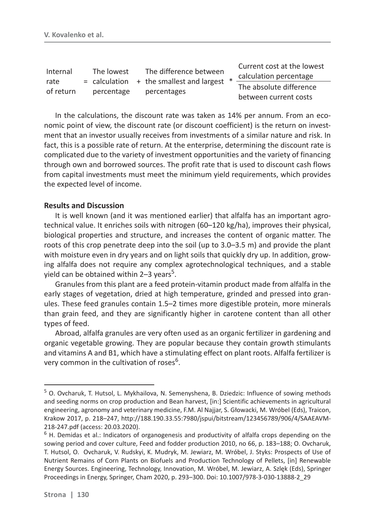| Internal<br>rate<br>of return |  | The lowest<br>percentage |  | The difference between<br>$=$ calculation $+$ the smallest and largest<br>percentages |  | Current cost at the lowest<br>calculation percentage |
|-------------------------------|--|--------------------------|--|---------------------------------------------------------------------------------------|--|------------------------------------------------------|
|                               |  |                          |  |                                                                                       |  | The absolute difference<br>between current costs     |

In the calculations, the discount rate was taken as 14% per annum. From an economic point of view, the discount rate (or discount coefficient) is the return on investment that an investor usually receives from investments of a similar nature and risk. In fact, this is a possible rate of return. At the enterprise, determining the discount rate is complicated due to the variety of investment opportunities and the variety of financing through own and borrowed sources. The profit rate that is used to discount cash flows from capital investments must meet the minimum yield requirements, which provides the expected level of income.

### **Results and Discussion**

It is well known (and it was mentioned earlier) that alfalfa has an important agrotechnical value. It enriches soils with nitrogen (60–120 kg/ha), improves their physical, biological properties and structure, and increases the content of organic matter. The roots of this crop penetrate deep into the soil (up to 3.0–3.5 m) and provide the plant with moisture even in dry years and on light soils that quickly dry up. In addition, growing alfalfa does not require any complex agrotechnological techniques, and a stable yield can be obtained within 2–3 years<sup>5</sup>.

Granules from this plant are a feed protein-vitamin product made from alfalfa in the early stages of vegetation, dried at high temperature, grinded and pressed into granules. These feed granules contain 1.5–2 times more digestible protein, more minerals than grain feed, and they are significantly higher in carotene content than all other types of feed.

Abroad, alfalfa granules are very often used as an organic fertilizer in gardening and organic vegetable growing. They are popular because they contain growth stimulants and vitamins A and B1, which have a stimulating effect on plant roots. Alfalfa fertilizer is very common in the cultivation of roses<sup>6</sup>.

<sup>&</sup>lt;sup>5</sup> O. Ovcharuk, T. Hutsol, L. Mykhailova, N. Semenyshena, B. Dziedzic: Influence of sowing methods and seeding norms on crop production and Bean harvest, [in:] Scientific achievements in agricultural engineering, agronomy and veterinary medicine, F.M. Al Najjar, S. Głowacki, M. Wróbel (Eds), Traicon, Krakow 2017, p. 218–247, http://188.190.33.55:7980/jspui/bitstream/123456789/906/4/SAAEAVM-218-247.pdf (access: 20.03.2020).

 $<sup>6</sup>$  H. Demidas et al.: Indicators of organogenesis and productivity of alfalfa crops depending on the</sup> sowing period and cover culture, Feed and fodder production 2010, no 66, p. 183–188; O. Ovcharuk, T. Hutsol, O. Ovcharuk, V. Rudskyi, K. Mudryk, M. Jewiarz, M. Wróbel, J. Styks: Prospects of Use of Nutrient Remains of Corn Plants on Biofuels and Production Technology of Pellets, [in] Renewable Energy Sources. Engineering, Technology, Innovation, M. Wróbel, M. Jewiarz, A. Szlęk (Eds), Springer Proceedings in Energy, Springer, Cham 2020, p. 293–300. Doi: 10.1007/978-3-030-13888-2\_29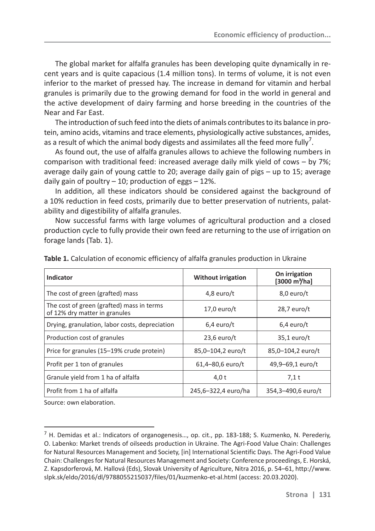The global market for alfalfa granules has been developing quite dynamically in recent years and is quite capacious (1.4 million tons). In terms of volume, it is not even inferior to the market of pressed hay. The increase in demand for vitamin and herbal granules is primarily due to the growing demand for food in the world in general and the active development of dairy farming and horse breeding in the countries of the Near and Far East.

The introduction of such feed into the diets of animals contributes to its balance in protein, amino acids, vitamins and trace elements, physiologically active substances, amides, as a result of which the animal body digests and assimilates all the feed more fully<sup>7</sup>.

As found out, the use of alfalfa granules allows to achieve the following numbers in comparison with traditional feed: increased average daily milk yield of cows – by 7%; average daily gain of young cattle to 20; average daily gain of pigs – up to 15; average daily gain of poultry  $-10$ ; production of eggs  $-12\%$ .

In addition, all these indicators should be considered against the background of a 10% reduction in feed costs, primarily due to better preservation of nutrients, palatability and digestibility of alfalfa granules.

Now successful farms with large volumes of agricultural production and a closed production cycle to fully provide their own feed are returning to the use of irrigation on forage lands (Tab. 1).

| Indicator                                                                  | <b>Without irrigation</b> | On irrigation<br>$[3000 \text{ m}^3/\text{ha}]$ |  |  |
|----------------------------------------------------------------------------|---------------------------|-------------------------------------------------|--|--|
| The cost of green (grafted) mass                                           | 4,8 euro/ $t$             | $8,0$ euro/t                                    |  |  |
| The cost of green (grafted) mass in terms<br>of 12% dry matter in granules | $17,0$ euro/t             | 28,7 euro/t                                     |  |  |
| Drying, granulation, labor costs, depreciation                             | $6,4$ euro/t              | $6,4$ euro/t                                    |  |  |
| Production cost of granules                                                | $23,6$ euro/t             | $35,1$ euro/t                                   |  |  |
| Price for granules (15-19% crude protein)                                  | 85,0-104,2 euro/t         | 85,0-104,2 euro/t                               |  |  |
| Profit per 1 ton of granules                                               | 61,4-80,6 euro/t          | 49,9-69,1 euro/t                                |  |  |
| Granule yield from 1 ha of alfalfa                                         | 4,0 t                     | $7,1$ t                                         |  |  |
| Profit from 1 ha of alfalfa                                                | 245,6-322,4 euro/ha       | 354,3-490,6 euro/t                              |  |  |

**Table 1.** Calculation of economic efficiency of alfalfa granules production in Ukraine

Source: own elaboration.

 $<sup>7</sup>$  H. Demidas et al.: Indicators of organogenesis..., op. cit., pp. 183-188; S. Kuzmenko, N. Perederiy,</sup> O. Labenko: Market trends of oilseeds production in Ukraine. The Agri-Food Value Chain: Challenges for Natural Resources Management and Society, [in] International Scientific Days. The Agri-Food Value Chain: Challenges for Natural Resources Management and Society: Conference proceedings, E. Horská, Z. Kapsdorferová, M. Hallová (Eds), Slovak University of Agriculture, Nitra 2016, p. 54–61, http://www. slpk.sk/eldo/2016/dl/9788055215037/files/01/kuzmenko-et-al.html (access: 20.03.2020).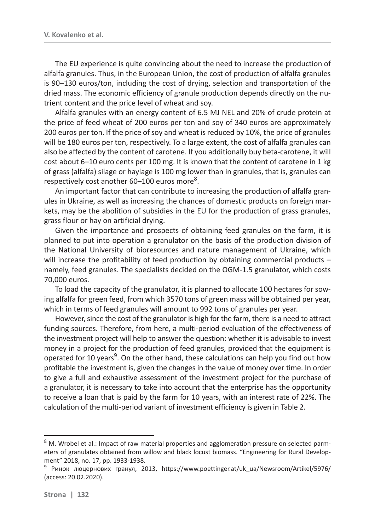The EU experience is quite convincing about the need to increase the production of alfalfa granules. Thus, in the European Union, the cost of production of alfalfa granules is 90–130 euros/ton, including the cost of drying, selection and transportation of the dried mass. The economic efficiency of granule production depends directly on the nutrient content and the price level of wheat and soy.

Alfalfa granules with an energy content of 6.5 MJ NEL and 20% of crude protein at the price of feed wheat of 200 euros per ton and soy of 340 euros are approximately 200 euros per ton. If the price of soy and wheat is reduced by 10%, the price of granules will be 180 euros per ton, respectively. To a large extent, the cost of alfalfa granules can also be affected by the content of carotene. If you additionally buy beta-carotene, it will cost about 6–10 euro cents per 100 mg. It is known that the content of carotene in 1 kg of grass (alfalfa) silage or haylage is 100 mg lower than in granules, that is, granules can respectively cost another  $60-100$  euros more<sup>8</sup>.

An important factor that can contribute to increasing the production of alfalfa granules in Ukraine, as well as increasing the chances of domestic products on foreign markets, may be the abolition of subsidies in the EU for the production of grass granules, grass flour or hay on artificial drying.

Given the importance and prospects of obtaining feed granules on the farm, it is planned to put into operation a granulator on the basis of the production division of the National University of bioresources and nature management of Ukraine, which will increase the profitability of feed production by obtaining commercial products – namely, feed granules. The specialists decided on the OGM-1.5 granulator, which costs 70,000 euros.

To load the capacity of the granulator, it is planned to allocate 100 hectares for sowing alfalfa for green feed, from which 3570 tons of green mass will be obtained per year, which in terms of feed granules will amount to 992 tons of granules per year.

However, since the cost of the granulator is high for the farm, there is a need to attract funding sources. Therefore, from here, a multi-period evaluation of the effectiveness of the investment project will help to answer the question: whether it is advisable to invest money in a project for the production of feed granules, provided that the equipment is operated for 10 years<sup>9</sup>. On the other hand, these calculations can help you find out how profitable the investment is, given the changes in the value of money over time. In order to give a full and exhaustive assessment of the investment project for the purchase of a granulator, it is necessary to take into account that the enterprise has the opportunity to receive a loan that is paid by the farm for 10 years, with an interest rate of 22%. The calculation of the multi-period variant of investment efficiency is given in Table 2.

 $8$  M. Wrobel et al.: Impact of raw material properties and agglomeration pressure on selected parmeters of granulates obtained from willow and black locust biomass. "Engineering for Rural Development" 2018, no. 17, pp. 1933-1938.

<sup>&</sup>lt;sup>9</sup> Ринок люцернових гранул, 2013, https://www.poettinger.at/uk\_ua/Newsroom/Artikel/5976/ (access: 20.02.2020).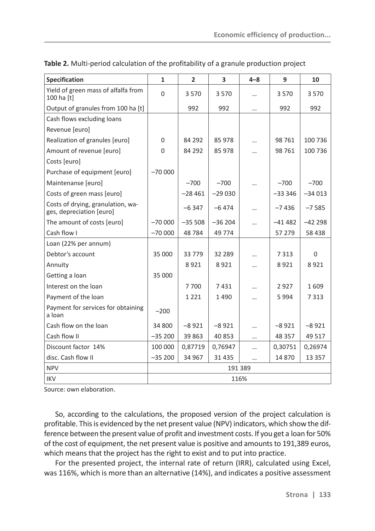| <b>Specification</b>                                          | $\mathbf{1}$   | $\overline{2}$ | $\overline{\mathbf{3}}$ | $4 - 8$   | 9         | 10       |  |
|---------------------------------------------------------------|----------------|----------------|-------------------------|-----------|-----------|----------|--|
| Yield of green mass of alfalfa from<br>100 ha [t]             | $\overline{0}$ | 3570           | 3570                    | $\cdots$  | 3570      | 3 5 7 0  |  |
| Output of granules from 100 ha [t]                            |                | 992            | 992                     |           | 992       | 992      |  |
| Cash flows excluding loans                                    |                |                |                         |           |           |          |  |
| Revenue [euro]                                                |                |                |                         |           |           |          |  |
| Realization of granules [euro]                                | $\mathbf 0$    | 84 292         | 85 978                  |           | 98 761    | 100 736  |  |
| Amount of revenue [euro]                                      | $\Omega$       | 84 292         | 85 978                  |           | 98 761    | 100 736  |  |
| Costs [euro]                                                  |                |                |                         |           |           |          |  |
| Purchase of equipment [euro]                                  | $-70000$       |                |                         |           |           |          |  |
| Maintenanse [euro]                                            |                | $-700$         | $-700$                  | $\cdots$  | $-700$    | $-700$   |  |
| Costs of green mass [euro]                                    |                | $-28461$       | $-29030$                |           | $-333346$ | $-34013$ |  |
| Costs of drying, granulation, wa-<br>ges, depreciation [euro] |                | $-6347$        | $-6474$                 |           | $-7436$   | $-7585$  |  |
| The amount of costs [euro]                                    | $-70000$       | $-35508$       | $-36204$                |           | $-41482$  | $-42298$ |  |
| Cash flow I                                                   | $-70000$       | 48784          | 49 7 74                 |           | 57 279    | 58 438   |  |
| Loan (22% per annum)                                          |                |                |                         |           |           |          |  |
| Debtor's account                                              | 35 000         | 33779          | 32 289                  |           | 7 3 1 3   | $\Omega$ |  |
| Annuity                                                       |                | 8921           | 8921                    | $\cdots$  | 8921      | 8921     |  |
| Getting a loan                                                | 35 000         |                |                         |           |           |          |  |
| Interest on the loan                                          |                | 7 700          | 7431                    |           | 2927      | 1609     |  |
| Payment of the loan                                           |                | 1 2 2 1        | 1490                    |           | 5994      | 7 3 1 3  |  |
| Payment for services for obtaining<br>a loan                  | $-200$         |                |                         |           |           |          |  |
| Cash flow on the loan                                         | 34 800         | $-8921$        | $-8921$                 |           | $-8921$   | $-8921$  |  |
| Cash flow II                                                  | $-35200$       | 39 863         | 40 853                  | $\cdots$  | 48 3 5 7  | 49 517   |  |
| Discount factor 14%                                           | 100 000        | 0,87719        | 0,76947                 | $\cdots$  | 0,30751   | 0,26974  |  |
| disc. Cash flow II                                            | $-35200$       | 34 967         | 31 4 35                 | $\ddotsc$ | 14 870    | 13 3 5 7 |  |
| <b>NPV</b>                                                    | 191 389        |                |                         |           |           |          |  |
| <b>IKV</b>                                                    | 116%           |                |                         |           |           |          |  |

**Table 2.** Multi-period calculation of the profitability of a granule production project

Source: own elaboration.

So, according to the calculations, the proposed version of the project calculation is profitable. This is evidenced by the net present value (NPV) indicators, which show the difference between the present value of profit and investment costs. If you get a loan for 50% of the cost of equipment, the net present value is positive and amounts to 191,389 euros, which means that the project has the right to exist and to put into practice.

For the presented project, the internal rate of return (IRR), calculated using Excel, was 116%, which is more than an alternative (14%), and indicates a positive assessment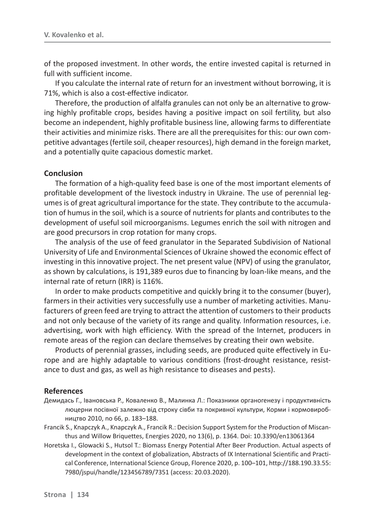of the proposed investment. In other words, the entire invested capital is returned in full with sufficient income.

If you calculate the internal rate of return for an investment without borrowing, it is 71%, which is also a cost-effective indicator.

Therefore, the production of alfalfa granules can not only be an alternative to growing highly profitable crops, besides having a positive impact on soil fertility, but also become an independent, highly profitable business line, allowing farms to differentiate their activities and minimize risks. There are all the prerequisites for this: our own competitive advantages (fertile soil, cheaper resources), high demand in the foreign market, and a potentially quite capacious domestic market.

#### **Conclusion**

The formation of a high-quality feed base is one of the most important elements of profitable development of the livestock industry in Ukraine. The use of perennial legumes is of great agricultural importance for the state. They contribute to the accumulation of humus in the soil, which is a source of nutrients for plants and contributes to the development of useful soil microorganisms. Legumes enrich the soil with nitrogen and are good precursors in crop rotation for many crops.

The analysis of the use of feed granulator in the Separated Subdivision of National University of Life and Environmental Sciences of Ukraine showed the economic effect of investing in this innovative project. The net present value (NPV) of using the granulator, as shown by calculations, is 191,389 euros due to financing by loan-like means, and the internal rate of return (IRR) is 116%.

In order to make products competitive and quickly bring it to the consumer (buyer), farmers in their activities very successfully use a number of marketing activities. Manufacturers of green feed are trying to attract the attention of customers to their products and not only because of the variety of its range and quality. Information resources, i.e. advertising, work with high efficiency. With the spread of the Internet, producers in remote areas of the region can declare themselves by creating their own website.

Products of perennial grasses, including seeds, are produced quite effectively in Europe and are highly adaptable to various conditions (frost-drought resistance, resistance to dust and gas, as well as high resistance to diseases and pests).

#### **References**

- Демидась Г., Івановська Р., Коваленко В., Малинка Л.: Показники органогенезу і продуктивність люцерни посівної залежно від строку сівби та покривної культури, Корми і кормовиробництво 2010, по 66, р. 183-188.
- Francik S., Knapczyk A., Knapczyk A., Francik R.: Decision Support System for the Production of Miscanthus and Willow Briquettes, Energies 2020, no 13(6), p. 1364. Doi: 10.3390/en13061364
- Horetska I., Glowacki S., Hutsol T.: Biomass Energy Potential After Beer Production. Actual aspects of development in the context of globalization, Abstracts of IX International Scientific and Practical Conference, International Science Group, Florence 2020, p. 100–101, http://188.190.33.55: 7980/jspui/handle/123456789/7351 (access: 20.03.2020).